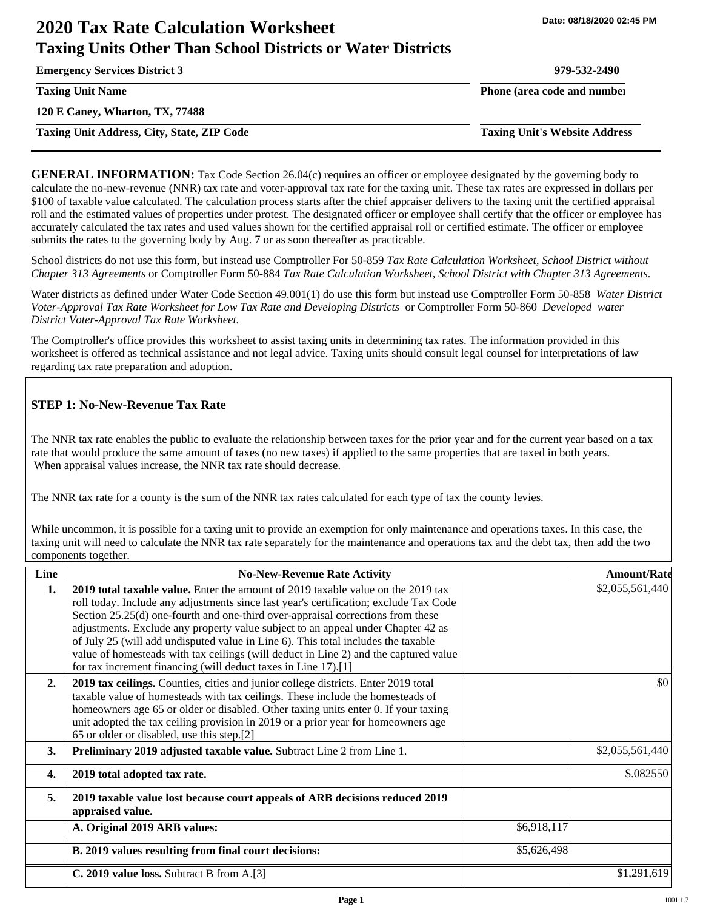# **2020 Tax Rate Calculation Worksheet Taxing Units Other Than School Districts or Water Districts**

**Emergency Services District 3 979-532-2490**

**120 E Caney, Wharton, TX, 77488**

**Taxing Unit Address, City, State, ZIP Code Taxing Unit's Website Address**

**Taxing Unit Name Phone (area code and number Phone (area code and number** 

**GENERAL INFORMATION:** Tax Code Section 26.04(c) requires an officer or employee designated by the governing body to calculate the no-new-revenue (NNR) tax rate and voter-approval tax rate for the taxing unit. These tax rates are expressed in dollars per \$100 of taxable value calculated. The calculation process starts after the chief appraiser delivers to the taxing unit the certified appraisal roll and the estimated values of properties under protest. The designated officer or employee shall certify that the officer or employee has accurately calculated the tax rates and used values shown for the certified appraisal roll or certified estimate. The officer or employee submits the rates to the governing body by Aug. 7 or as soon thereafter as practicable.

School districts do not use this form, but instead use Comptroller For 50-859 *Tax Rate Calculation Worksheet, School District without Chapter 313 Agreements* or Comptroller Form 50-884 *Tax Rate Calculation Worksheet, School District with Chapter 313 Agreements.*

Water districts as defined under Water Code Section 49.001(1) do use this form but instead use Comptroller Form 50-858 *Water District Voter-Approval Tax Rate Worksheet for Low Tax Rate and Developing Districts* or Comptroller Form 50-860 *Developed water District Voter-Approval Tax Rate Worksheet.*

The Comptroller's office provides this worksheet to assist taxing units in determining tax rates. The information provided in this worksheet is offered as technical assistance and not legal advice. Taxing units should consult legal counsel for interpretations of law regarding tax rate preparation and adoption.

## **STEP 1: No-New-Revenue Tax Rate**

The NNR tax rate enables the public to evaluate the relationship between taxes for the prior year and for the current year based on a tax rate that would produce the same amount of taxes (no new taxes) if applied to the same properties that are taxed in both years. When appraisal values increase, the NNR tax rate should decrease.

The NNR tax rate for a county is the sum of the NNR tax rates calculated for each type of tax the county levies.

While uncommon, it is possible for a taxing unit to provide an exemption for only maintenance and operations taxes. In this case, the taxing unit will need to calculate the NNR tax rate separately for the maintenance and operations tax and the debt tax, then add the two components together.

| Line | <b>No-New-Revenue Rate Activity</b>                                                                                                                                                                                                                                                                                                                                                                                                                                                                                                                                                             |             | <b>Amount/Rate</b> |
|------|-------------------------------------------------------------------------------------------------------------------------------------------------------------------------------------------------------------------------------------------------------------------------------------------------------------------------------------------------------------------------------------------------------------------------------------------------------------------------------------------------------------------------------------------------------------------------------------------------|-------------|--------------------|
| 1.   | 2019 total taxable value. Enter the amount of 2019 taxable value on the 2019 tax<br>roll today. Include any adjustments since last year's certification; exclude Tax Code<br>Section 25.25(d) one-fourth and one-third over-appraisal corrections from these<br>adjustments. Exclude any property value subject to an appeal under Chapter 42 as<br>of July 25 (will add undisputed value in Line 6). This total includes the taxable<br>value of homesteads with tax ceilings (will deduct in Line 2) and the captured value<br>for tax increment financing (will deduct taxes in Line 17).[1] |             | \$2,055,561,440    |
| 2.   | 2019 tax ceilings. Counties, cities and junior college districts. Enter 2019 total<br>taxable value of homesteads with tax ceilings. These include the homesteads of<br>homeowners age 65 or older or disabled. Other taxing units enter 0. If your taxing<br>unit adopted the tax ceiling provision in 2019 or a prior year for homeowners age<br>65 or older or disabled, use this step.[2]                                                                                                                                                                                                   |             | \$0                |
| 3.   | <b>Preliminary 2019 adjusted taxable value.</b> Subtract Line 2 from Line 1.                                                                                                                                                                                                                                                                                                                                                                                                                                                                                                                    |             | \$2,055,561,440    |
| 4.   | 2019 total adopted tax rate.                                                                                                                                                                                                                                                                                                                                                                                                                                                                                                                                                                    |             | \$.082550          |
| 5.   | 2019 taxable value lost because court appeals of ARB decisions reduced 2019<br>appraised value.                                                                                                                                                                                                                                                                                                                                                                                                                                                                                                 |             |                    |
|      | A. Original 2019 ARB values:                                                                                                                                                                                                                                                                                                                                                                                                                                                                                                                                                                    | \$6,918,117 |                    |
|      | B. 2019 values resulting from final court decisions:                                                                                                                                                                                                                                                                                                                                                                                                                                                                                                                                            | \$5,626,498 |                    |
|      | C. 2019 value loss. Subtract B from A.[3]                                                                                                                                                                                                                                                                                                                                                                                                                                                                                                                                                       |             | \$1,291,619        |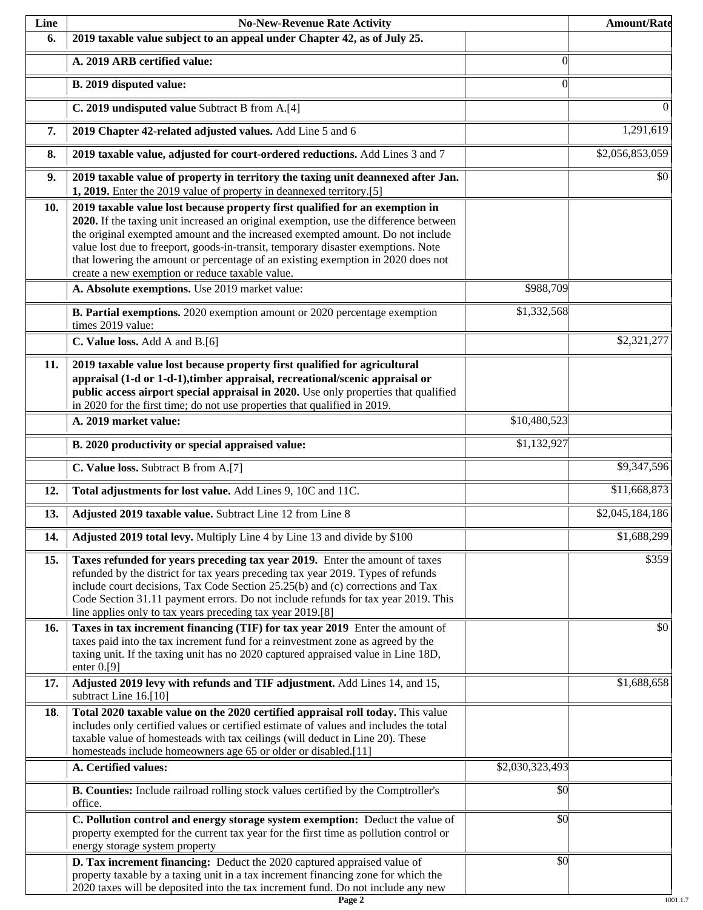| Line | <b>No-New-Revenue Rate Activity</b>                                                                                                                                                                                                                                                                                                                                                                                                                                                |                 | <b>Amount/Rate</b> |
|------|------------------------------------------------------------------------------------------------------------------------------------------------------------------------------------------------------------------------------------------------------------------------------------------------------------------------------------------------------------------------------------------------------------------------------------------------------------------------------------|-----------------|--------------------|
| 6.   | 2019 taxable value subject to an appeal under Chapter 42, as of July 25.                                                                                                                                                                                                                                                                                                                                                                                                           |                 |                    |
|      | A. 2019 ARB certified value:                                                                                                                                                                                                                                                                                                                                                                                                                                                       | $\theta$        |                    |
|      | B. 2019 disputed value:                                                                                                                                                                                                                                                                                                                                                                                                                                                            | $\Omega$        |                    |
|      | C. 2019 undisputed value Subtract B from A.[4]                                                                                                                                                                                                                                                                                                                                                                                                                                     |                 | 0                  |
| 7.   | 2019 Chapter 42-related adjusted values. Add Line 5 and 6                                                                                                                                                                                                                                                                                                                                                                                                                          |                 | 1,291,619          |
| 8.   | 2019 taxable value, adjusted for court-ordered reductions. Add Lines 3 and 7                                                                                                                                                                                                                                                                                                                                                                                                       |                 | \$2,056,853,059    |
| 9.   | 2019 taxable value of property in territory the taxing unit deannexed after Jan.<br>1, 2019. Enter the 2019 value of property in deannexed territory.[5]                                                                                                                                                                                                                                                                                                                           |                 | \$0                |
| 10.  | 2019 taxable value lost because property first qualified for an exemption in<br>2020. If the taxing unit increased an original exemption, use the difference between<br>the original exempted amount and the increased exempted amount. Do not include<br>value lost due to freeport, goods-in-transit, temporary disaster exemptions. Note<br>that lowering the amount or percentage of an existing exemption in 2020 does not<br>create a new exemption or reduce taxable value. |                 |                    |
|      | A. Absolute exemptions. Use 2019 market value:                                                                                                                                                                                                                                                                                                                                                                                                                                     | \$988,709       |                    |
|      | B. Partial exemptions. 2020 exemption amount or 2020 percentage exemption<br>times 2019 value:                                                                                                                                                                                                                                                                                                                                                                                     | \$1,332,568     |                    |
|      | C. Value loss. Add A and B.[6]                                                                                                                                                                                                                                                                                                                                                                                                                                                     |                 | \$2,321,277        |
| 11.  | 2019 taxable value lost because property first qualified for agricultural<br>appraisal (1-d or 1-d-1), timber appraisal, recreational/scenic appraisal or<br>public access airport special appraisal in 2020. Use only properties that qualified<br>in 2020 for the first time; do not use properties that qualified in 2019.                                                                                                                                                      |                 |                    |
|      | A. 2019 market value:                                                                                                                                                                                                                                                                                                                                                                                                                                                              | \$10,480,523    |                    |
|      | B. 2020 productivity or special appraised value:                                                                                                                                                                                                                                                                                                                                                                                                                                   | \$1,132,927     |                    |
|      | C. Value loss. Subtract B from A.[7]                                                                                                                                                                                                                                                                                                                                                                                                                                               |                 | \$9,347,596        |
| 12.  | Total adjustments for lost value. Add Lines 9, 10C and 11C.                                                                                                                                                                                                                                                                                                                                                                                                                        |                 | \$11,668,873       |
| 13.  | Adjusted 2019 taxable value. Subtract Line 12 from Line 8                                                                                                                                                                                                                                                                                                                                                                                                                          |                 | \$2,045,184,186    |
| 14.  | Adjusted 2019 total levy. Multiply Line 4 by Line 13 and divide by \$100                                                                                                                                                                                                                                                                                                                                                                                                           |                 | \$1,688,299        |
| 15.  | Taxes refunded for years preceding tax year 2019. Enter the amount of taxes<br>refunded by the district for tax years preceding tax year 2019. Types of refunds<br>include court decisions, Tax Code Section 25.25(b) and (c) corrections and Tax<br>Code Section 31.11 payment errors. Do not include refunds for tax year 2019. This<br>line applies only to tax years preceding tax year 2019.[8]                                                                               |                 | \$359              |
| 16.  | Taxes in tax increment financing (TIF) for tax year 2019 Enter the amount of<br>taxes paid into the tax increment fund for a reinvestment zone as agreed by the<br>taxing unit. If the taxing unit has no 2020 captured appraised value in Line 18D,<br>enter $0.9$ ]                                                                                                                                                                                                              |                 | \$0                |
| 17.  | Adjusted 2019 levy with refunds and TIF adjustment. Add Lines 14, and 15,<br>subtract Line 16.[10]                                                                                                                                                                                                                                                                                                                                                                                 |                 | \$1,688,658        |
| 18.  | Total 2020 taxable value on the 2020 certified appraisal roll today. This value<br>includes only certified values or certified estimate of values and includes the total<br>taxable value of homesteads with tax ceilings (will deduct in Line 20). These<br>homesteads include homeowners age 65 or older or disabled.[11]                                                                                                                                                        |                 |                    |
|      | A. Certified values:                                                                                                                                                                                                                                                                                                                                                                                                                                                               | \$2,030,323,493 |                    |
|      | B. Counties: Include railroad rolling stock values certified by the Comptroller's<br>office.                                                                                                                                                                                                                                                                                                                                                                                       | \$0             |                    |
|      | C. Pollution control and energy storage system exemption: Deduct the value of<br>property exempted for the current tax year for the first time as pollution control or<br>energy storage system property                                                                                                                                                                                                                                                                           | \$0             |                    |
|      | D. Tax increment financing: Deduct the 2020 captured appraised value of<br>property taxable by a taxing unit in a tax increment financing zone for which the<br>2020 taxes will be deposited into the tax increment fund. Do not include any new                                                                                                                                                                                                                                   | $\sqrt{50}$     |                    |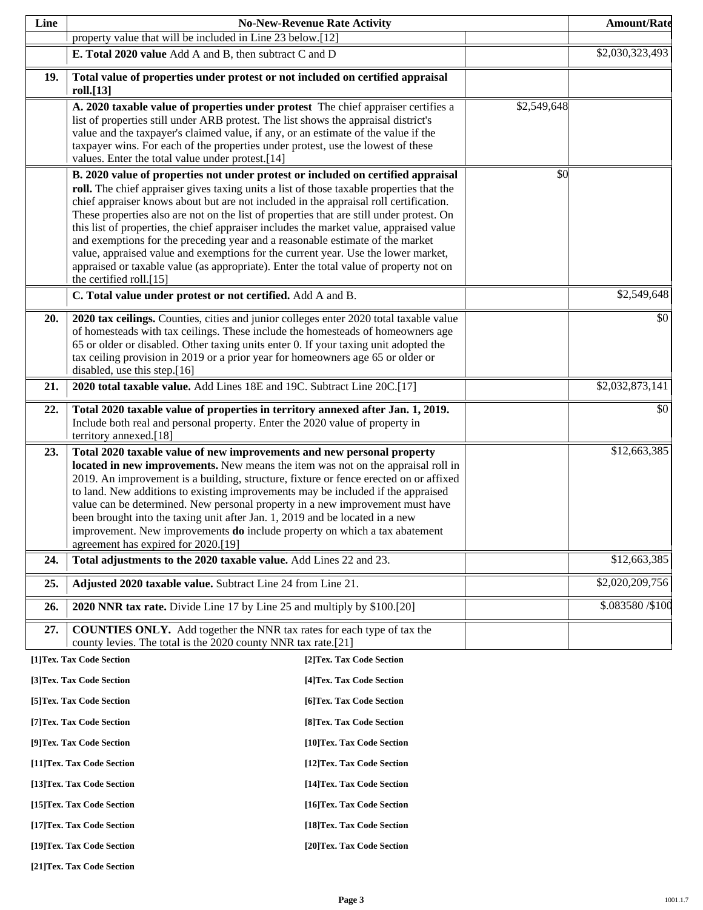| Line                                                   |                                                                                                                                                                                                                                                                                                                                                                                                                                                                                                                                                                                                                                                                                                                                                                                                                       | <b>No-New-Revenue Rate Activity</b> |             | <b>Amount/Rate</b> |
|--------------------------------------------------------|-----------------------------------------------------------------------------------------------------------------------------------------------------------------------------------------------------------------------------------------------------------------------------------------------------------------------------------------------------------------------------------------------------------------------------------------------------------------------------------------------------------------------------------------------------------------------------------------------------------------------------------------------------------------------------------------------------------------------------------------------------------------------------------------------------------------------|-------------------------------------|-------------|--------------------|
|                                                        | property value that will be included in Line 23 below.[12]                                                                                                                                                                                                                                                                                                                                                                                                                                                                                                                                                                                                                                                                                                                                                            |                                     |             |                    |
|                                                        | E. Total 2020 value Add A and B, then subtract C and D                                                                                                                                                                                                                                                                                                                                                                                                                                                                                                                                                                                                                                                                                                                                                                |                                     |             | \$2,030,323,493    |
| 19.                                                    | Total value of properties under protest or not included on certified appraisal<br>roll.[13]                                                                                                                                                                                                                                                                                                                                                                                                                                                                                                                                                                                                                                                                                                                           |                                     |             |                    |
|                                                        | A. 2020 taxable value of properties under protest The chief appraiser certifies a<br>list of properties still under ARB protest. The list shows the appraisal district's<br>value and the taxpayer's claimed value, if any, or an estimate of the value if the<br>taxpayer wins. For each of the properties under protest, use the lowest of these<br>values. Enter the total value under protest.[14]                                                                                                                                                                                                                                                                                                                                                                                                                |                                     | \$2,549,648 |                    |
|                                                        | B. 2020 value of properties not under protest or included on certified appraisal<br>roll. The chief appraiser gives taxing units a list of those taxable properties that the<br>chief appraiser knows about but are not included in the appraisal roll certification.<br>These properties also are not on the list of properties that are still under protest. On<br>this list of properties, the chief appraiser includes the market value, appraised value<br>and exemptions for the preceding year and a reasonable estimate of the market<br>value, appraised value and exemptions for the current year. Use the lower market,<br>appraised or taxable value (as appropriate). Enter the total value of property not on<br>the certified roll.[15]<br>C. Total value under protest or not certified. Add A and B. |                                     | \$0         | \$2,549,648        |
| 20.                                                    | 2020 tax ceilings. Counties, cities and junior colleges enter 2020 total taxable value<br>of homesteads with tax ceilings. These include the homesteads of homeowners age<br>65 or older or disabled. Other taxing units enter 0. If your taxing unit adopted the<br>tax ceiling provision in 2019 or a prior year for homeowners age 65 or older or<br>disabled, use this step.[16]                                                                                                                                                                                                                                                                                                                                                                                                                                  |                                     |             | \$0                |
| 21.                                                    | 2020 total taxable value. Add Lines 18E and 19C. Subtract Line 20C.[17]                                                                                                                                                                                                                                                                                                                                                                                                                                                                                                                                                                                                                                                                                                                                               |                                     |             | \$2,032,873,141    |
| 22.                                                    | Total 2020 taxable value of properties in territory annexed after Jan. 1, 2019.<br>Include both real and personal property. Enter the 2020 value of property in<br>territory annexed.[18]                                                                                                                                                                                                                                                                                                                                                                                                                                                                                                                                                                                                                             |                                     |             | \$0                |
| 23.                                                    | Total 2020 taxable value of new improvements and new personal property<br>located in new improvements. New means the item was not on the appraisal roll in<br>2019. An improvement is a building, structure, fixture or fence erected on or affixed<br>to land. New additions to existing improvements may be included if the appraised<br>value can be determined. New personal property in a new improvement must have<br>been brought into the taxing unit after Jan. 1, 2019 and be located in a new<br>improvement. New improvements <b>do</b> include property on which a tax abatement<br>agreement has expired for 2020.[19]                                                                                                                                                                                  |                                     |             | \$12,663,385       |
| 24.                                                    | Total adjustments to the 2020 taxable value. Add Lines 22 and 23.                                                                                                                                                                                                                                                                                                                                                                                                                                                                                                                                                                                                                                                                                                                                                     |                                     |             | \$12,663,385       |
| 25.                                                    | Adjusted 2020 taxable value. Subtract Line 24 from Line 21.                                                                                                                                                                                                                                                                                                                                                                                                                                                                                                                                                                                                                                                                                                                                                           |                                     |             | \$2,020,209,756    |
| 26.                                                    | 2020 NNR tax rate. Divide Line 17 by Line 25 and multiply by \$100.[20]                                                                                                                                                                                                                                                                                                                                                                                                                                                                                                                                                                                                                                                                                                                                               |                                     |             | \$.083580 /\$100   |
| 27.                                                    | <b>COUNTIES ONLY.</b> Add together the NNR tax rates for each type of tax the<br>county levies. The total is the 2020 county NNR tax rate.[21]                                                                                                                                                                                                                                                                                                                                                                                                                                                                                                                                                                                                                                                                        |                                     |             |                    |
|                                                        | [1]Tex. Tax Code Section                                                                                                                                                                                                                                                                                                                                                                                                                                                                                                                                                                                                                                                                                                                                                                                              | [2]Tex. Tax Code Section            |             |                    |
|                                                        | [3]Tex. Tax Code Section                                                                                                                                                                                                                                                                                                                                                                                                                                                                                                                                                                                                                                                                                                                                                                                              | [4] Tex. Tax Code Section           |             |                    |
|                                                        | [5] Tex. Tax Code Section                                                                                                                                                                                                                                                                                                                                                                                                                                                                                                                                                                                                                                                                                                                                                                                             | [6]Tex. Tax Code Section            |             |                    |
|                                                        | [7] Tex. Tax Code Section                                                                                                                                                                                                                                                                                                                                                                                                                                                                                                                                                                                                                                                                                                                                                                                             | [8] Tex. Tax Code Section           |             |                    |
|                                                        | [9]Tex. Tax Code Section                                                                                                                                                                                                                                                                                                                                                                                                                                                                                                                                                                                                                                                                                                                                                                                              | [10]Tex. Tax Code Section           |             |                    |
|                                                        | [11] Tex. Tax Code Section                                                                                                                                                                                                                                                                                                                                                                                                                                                                                                                                                                                                                                                                                                                                                                                            | [12] Tex. Tax Code Section          |             |                    |
|                                                        | [13] Tex. Tax Code Section                                                                                                                                                                                                                                                                                                                                                                                                                                                                                                                                                                                                                                                                                                                                                                                            | [14] Tex. Tax Code Section          |             |                    |
|                                                        | [15] Tex. Tax Code Section                                                                                                                                                                                                                                                                                                                                                                                                                                                                                                                                                                                                                                                                                                                                                                                            | [16] Tex. Tax Code Section          |             |                    |
|                                                        | [17] Tex. Tax Code Section<br>[18]Tex. Tax Code Section                                                                                                                                                                                                                                                                                                                                                                                                                                                                                                                                                                                                                                                                                                                                                               |                                     |             |                    |
| [19]Tex. Tax Code Section<br>[20]Tex. Tax Code Section |                                                                                                                                                                                                                                                                                                                                                                                                                                                                                                                                                                                                                                                                                                                                                                                                                       |                                     |             |                    |

**[21]Tex. Tax Code Section**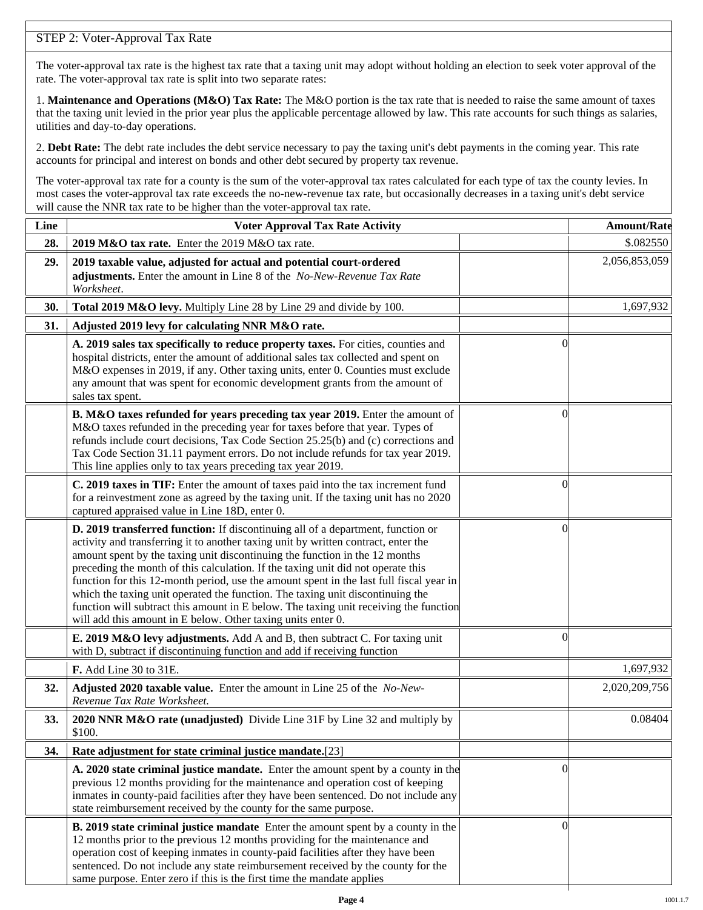## STEP 2: Voter-Approval Tax Rate

The voter-approval tax rate is the highest tax rate that a taxing unit may adopt without holding an election to seek voter approval of the rate. The voter-approval tax rate is split into two separate rates:

1. **Maintenance and Operations (M&O) Tax Rate:** The M&O portion is the tax rate that is needed to raise the same amount of taxes that the taxing unit levied in the prior year plus the applicable percentage allowed by law. This rate accounts for such things as salaries, utilities and day-to-day operations.

2. **Debt Rate:** The debt rate includes the debt service necessary to pay the taxing unit's debt payments in the coming year. This rate accounts for principal and interest on bonds and other debt secured by property tax revenue.

The voter-approval tax rate for a county is the sum of the voter-approval tax rates calculated for each type of tax the county levies. In most cases the voter-approval tax rate exceeds the no-new-revenue tax rate, but occasionally decreases in a taxing unit's debt service will cause the NNR tax rate to be higher than the voter-approval tax rate.

| Line | <b>Voter Approval Tax Rate Activity</b>                                                                                                                                                                                                                                                                                                                                                                                                                                                                                                                                                                                                                                        |                | <b>Amount/Rate</b> |
|------|--------------------------------------------------------------------------------------------------------------------------------------------------------------------------------------------------------------------------------------------------------------------------------------------------------------------------------------------------------------------------------------------------------------------------------------------------------------------------------------------------------------------------------------------------------------------------------------------------------------------------------------------------------------------------------|----------------|--------------------|
| 28.  | 2019 M&O tax rate. Enter the 2019 M&O tax rate.                                                                                                                                                                                                                                                                                                                                                                                                                                                                                                                                                                                                                                |                | \$.082550          |
| 29.  | 2019 taxable value, adjusted for actual and potential court-ordered<br>adjustments. Enter the amount in Line 8 of the No-New-Revenue Tax Rate<br>Worksheet.                                                                                                                                                                                                                                                                                                                                                                                                                                                                                                                    |                | 2,056,853,059      |
| 30.  | Total 2019 M&O levy. Multiply Line 28 by Line 29 and divide by 100.                                                                                                                                                                                                                                                                                                                                                                                                                                                                                                                                                                                                            |                | 1,697,932          |
| 31.  | Adjusted 2019 levy for calculating NNR M&O rate.                                                                                                                                                                                                                                                                                                                                                                                                                                                                                                                                                                                                                               |                |                    |
|      | A. 2019 sales tax specifically to reduce property taxes. For cities, counties and<br>hospital districts, enter the amount of additional sales tax collected and spent on<br>M&O expenses in 2019, if any. Other taxing units, enter 0. Counties must exclude<br>any amount that was spent for economic development grants from the amount of<br>sales tax spent.                                                                                                                                                                                                                                                                                                               | $\Omega$       |                    |
|      | B. M&O taxes refunded for years preceding tax year 2019. Enter the amount of<br>M&O taxes refunded in the preceding year for taxes before that year. Types of<br>refunds include court decisions, Tax Code Section 25.25(b) and (c) corrections and<br>Tax Code Section 31.11 payment errors. Do not include refunds for tax year 2019.<br>This line applies only to tax years preceding tax year 2019.                                                                                                                                                                                                                                                                        | $\Omega$       |                    |
|      | C. 2019 taxes in TIF: Enter the amount of taxes paid into the tax increment fund<br>for a reinvestment zone as agreed by the taxing unit. If the taxing unit has no 2020<br>captured appraised value in Line 18D, enter 0.                                                                                                                                                                                                                                                                                                                                                                                                                                                     | 0              |                    |
|      | D. 2019 transferred function: If discontinuing all of a department, function or<br>activity and transferring it to another taxing unit by written contract, enter the<br>amount spent by the taxing unit discontinuing the function in the 12 months<br>preceding the month of this calculation. If the taxing unit did not operate this<br>function for this 12-month period, use the amount spent in the last full fiscal year in<br>which the taxing unit operated the function. The taxing unit discontinuing the<br>function will subtract this amount in E below. The taxing unit receiving the function<br>will add this amount in E below. Other taxing units enter 0. | $\left($       |                    |
|      | E. 2019 M&O levy adjustments. Add A and B, then subtract C. For taxing unit<br>with D, subtract if discontinuing function and add if receiving function                                                                                                                                                                                                                                                                                                                                                                                                                                                                                                                        | 0              |                    |
|      | F. Add Line 30 to 31E.                                                                                                                                                                                                                                                                                                                                                                                                                                                                                                                                                                                                                                                         |                | 1,697,932          |
| 32.  | Adjusted 2020 taxable value. Enter the amount in Line 25 of the No-New-<br>Revenue Tax Rate Worksheet.                                                                                                                                                                                                                                                                                                                                                                                                                                                                                                                                                                         |                | 2,020,209,756      |
| 33.  | 2020 NNR M&O rate (unadjusted) Divide Line 31F by Line 32 and multiply by<br>\$100.                                                                                                                                                                                                                                                                                                                                                                                                                                                                                                                                                                                            |                | 0.08404            |
| 34.  | Rate adjustment for state criminal justice mandate.[23]                                                                                                                                                                                                                                                                                                                                                                                                                                                                                                                                                                                                                        |                |                    |
|      | A. 2020 state criminal justice mandate. Enter the amount spent by a county in the<br>previous 12 months providing for the maintenance and operation cost of keeping<br>inmates in county-paid facilities after they have been sentenced. Do not include any<br>state reimbursement received by the county for the same purpose.                                                                                                                                                                                                                                                                                                                                                | $\Omega$       |                    |
|      | <b>B. 2019 state criminal justice mandate</b> Enter the amount spent by a county in the<br>12 months prior to the previous 12 months providing for the maintenance and<br>operation cost of keeping inmates in county-paid facilities after they have been<br>sentenced. Do not include any state reimbursement received by the county for the<br>same purpose. Enter zero if this is the first time the mandate applies                                                                                                                                                                                                                                                       | $\overline{0}$ |                    |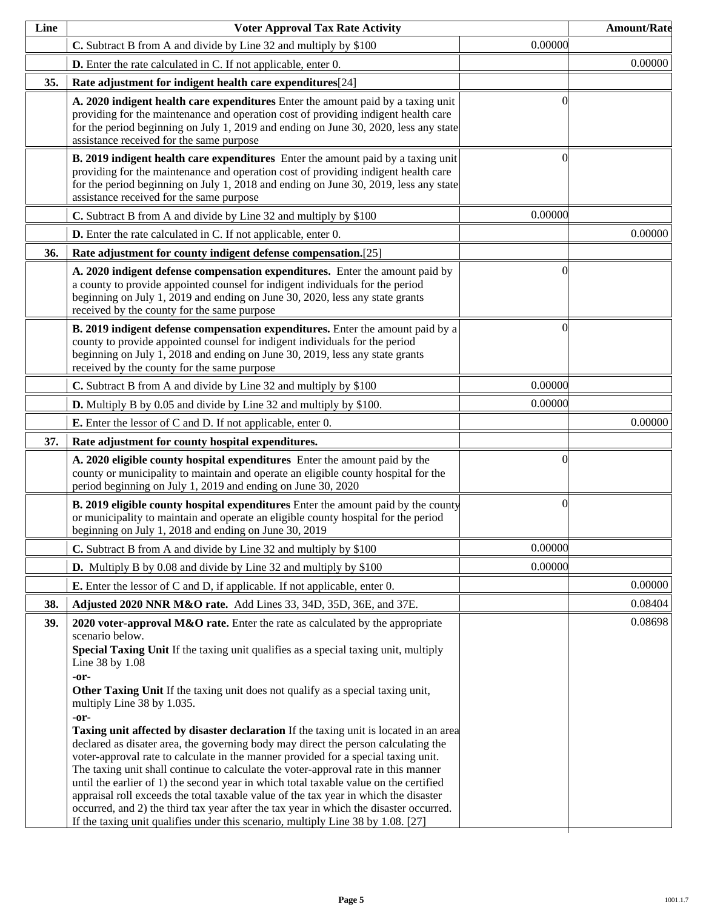| Line | <b>Voter Approval Tax Rate Activity</b>                                                                                                                                                                                                                                                                                                                                                                                                                                                                                                                                                                                                                                                                                                                                                                                                                                                                                                                                                                                                                                      |          | <b>Amount/Rate</b> |
|------|------------------------------------------------------------------------------------------------------------------------------------------------------------------------------------------------------------------------------------------------------------------------------------------------------------------------------------------------------------------------------------------------------------------------------------------------------------------------------------------------------------------------------------------------------------------------------------------------------------------------------------------------------------------------------------------------------------------------------------------------------------------------------------------------------------------------------------------------------------------------------------------------------------------------------------------------------------------------------------------------------------------------------------------------------------------------------|----------|--------------------|
|      | C. Subtract B from A and divide by Line 32 and multiply by \$100                                                                                                                                                                                                                                                                                                                                                                                                                                                                                                                                                                                                                                                                                                                                                                                                                                                                                                                                                                                                             | 0.00000  |                    |
|      | <b>D.</b> Enter the rate calculated in C. If not applicable, enter 0.                                                                                                                                                                                                                                                                                                                                                                                                                                                                                                                                                                                                                                                                                                                                                                                                                                                                                                                                                                                                        |          | 0.00000            |
| 35.  | Rate adjustment for indigent health care expenditures[24]                                                                                                                                                                                                                                                                                                                                                                                                                                                                                                                                                                                                                                                                                                                                                                                                                                                                                                                                                                                                                    |          |                    |
|      | A. 2020 indigent health care expenditures Enter the amount paid by a taxing unit<br>providing for the maintenance and operation cost of providing indigent health care<br>for the period beginning on July 1, 2019 and ending on June 30, 2020, less any state<br>assistance received for the same purpose                                                                                                                                                                                                                                                                                                                                                                                                                                                                                                                                                                                                                                                                                                                                                                   | ſ        |                    |
|      | <b>B.</b> 2019 indigent health care expenditures Enter the amount paid by a taxing unit<br>providing for the maintenance and operation cost of providing indigent health care<br>for the period beginning on July 1, 2018 and ending on June 30, 2019, less any state<br>assistance received for the same purpose                                                                                                                                                                                                                                                                                                                                                                                                                                                                                                                                                                                                                                                                                                                                                            | 0        |                    |
|      | C. Subtract B from A and divide by Line 32 and multiply by \$100                                                                                                                                                                                                                                                                                                                                                                                                                                                                                                                                                                                                                                                                                                                                                                                                                                                                                                                                                                                                             | 0.00000  |                    |
|      | D. Enter the rate calculated in C. If not applicable, enter 0.                                                                                                                                                                                                                                                                                                                                                                                                                                                                                                                                                                                                                                                                                                                                                                                                                                                                                                                                                                                                               |          | 0.00000            |
| 36.  | Rate adjustment for county indigent defense compensation.[25]                                                                                                                                                                                                                                                                                                                                                                                                                                                                                                                                                                                                                                                                                                                                                                                                                                                                                                                                                                                                                |          |                    |
|      | A. 2020 indigent defense compensation expenditures. Enter the amount paid by<br>a county to provide appointed counsel for indigent individuals for the period<br>beginning on July 1, 2019 and ending on June 30, 2020, less any state grants<br>received by the county for the same purpose                                                                                                                                                                                                                                                                                                                                                                                                                                                                                                                                                                                                                                                                                                                                                                                 | 0        |                    |
|      | B. 2019 indigent defense compensation expenditures. Enter the amount paid by a<br>county to provide appointed counsel for indigent individuals for the period<br>beginning on July 1, 2018 and ending on June 30, 2019, less any state grants<br>received by the county for the same purpose                                                                                                                                                                                                                                                                                                                                                                                                                                                                                                                                                                                                                                                                                                                                                                                 | 0        |                    |
|      | C. Subtract B from A and divide by Line 32 and multiply by \$100                                                                                                                                                                                                                                                                                                                                                                                                                                                                                                                                                                                                                                                                                                                                                                                                                                                                                                                                                                                                             | 0.00000  |                    |
|      | <b>D.</b> Multiply B by 0.05 and divide by Line 32 and multiply by \$100.                                                                                                                                                                                                                                                                                                                                                                                                                                                                                                                                                                                                                                                                                                                                                                                                                                                                                                                                                                                                    | 0.00000  |                    |
|      | <b>E.</b> Enter the lessor of C and D. If not applicable, enter 0.                                                                                                                                                                                                                                                                                                                                                                                                                                                                                                                                                                                                                                                                                                                                                                                                                                                                                                                                                                                                           |          | 0.00000            |
| 37.  | Rate adjustment for county hospital expenditures.                                                                                                                                                                                                                                                                                                                                                                                                                                                                                                                                                                                                                                                                                                                                                                                                                                                                                                                                                                                                                            |          |                    |
|      | A. 2020 eligible county hospital expenditures Enter the amount paid by the<br>county or municipality to maintain and operate an eligible county hospital for the<br>period beginning on July 1, 2019 and ending on June 30, 2020                                                                                                                                                                                                                                                                                                                                                                                                                                                                                                                                                                                                                                                                                                                                                                                                                                             | 0        |                    |
|      | <b>B. 2019 eligible county hospital expenditures</b> Enter the amount paid by the county<br>or municipality to maintain and operate an eligible county hospital for the period<br>beginning on July 1, 2018 and ending on June 30, 2019                                                                                                                                                                                                                                                                                                                                                                                                                                                                                                                                                                                                                                                                                                                                                                                                                                      | $\Omega$ |                    |
|      | C. Subtract B from A and divide by Line 32 and multiply by \$100                                                                                                                                                                                                                                                                                                                                                                                                                                                                                                                                                                                                                                                                                                                                                                                                                                                                                                                                                                                                             | 0.00000  |                    |
|      | <b>D.</b> Multiply B by 0.08 and divide by Line 32 and multiply by \$100                                                                                                                                                                                                                                                                                                                                                                                                                                                                                                                                                                                                                                                                                                                                                                                                                                                                                                                                                                                                     | 0.00000  |                    |
|      | <b>E.</b> Enter the lessor of C and D, if applicable. If not applicable, enter 0.                                                                                                                                                                                                                                                                                                                                                                                                                                                                                                                                                                                                                                                                                                                                                                                                                                                                                                                                                                                            |          | 0.00000            |
| 38.  | Adjusted 2020 NNR M&O rate. Add Lines 33, 34D, 35D, 36E, and 37E.                                                                                                                                                                                                                                                                                                                                                                                                                                                                                                                                                                                                                                                                                                                                                                                                                                                                                                                                                                                                            |          | 0.08404            |
| 39.  | 2020 voter-approval M&O rate. Enter the rate as calculated by the appropriate<br>scenario below.<br>Special Taxing Unit If the taxing unit qualifies as a special taxing unit, multiply<br>Line 38 by 1.08<br>-or-<br>Other Taxing Unit If the taxing unit does not qualify as a special taxing unit,<br>multiply Line 38 by 1.035.<br>-or-<br><b>Taxing unit affected by disaster declaration</b> If the taxing unit is located in an area<br>declared as disater area, the governing body may direct the person calculating the<br>voter-approval rate to calculate in the manner provided for a special taxing unit.<br>The taxing unit shall continue to calculate the voter-approval rate in this manner<br>until the earlier of 1) the second year in which total taxable value on the certified<br>appraisal roll exceeds the total taxable value of the tax year in which the disaster<br>occurred, and 2) the third tax year after the tax year in which the disaster occurred.<br>If the taxing unit qualifies under this scenario, multiply Line 38 by 1.08. [27] |          | 0.08698            |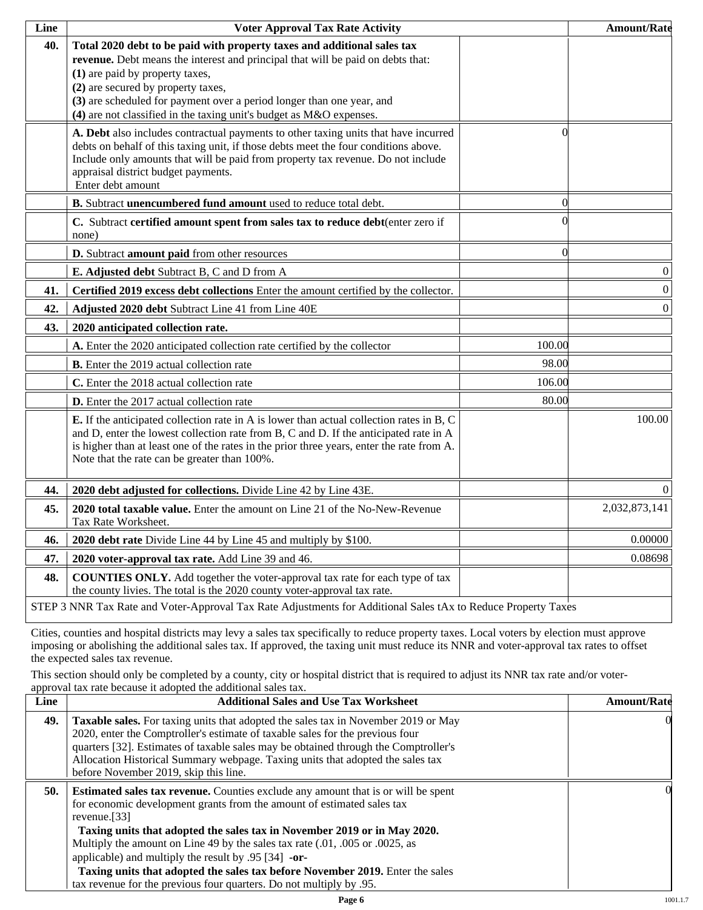| Line | <b>Voter Approval Tax Rate Activity</b>                                                                                                                                                                                                                                                                                                                                             |          | <b>Amount/Rate</b> |
|------|-------------------------------------------------------------------------------------------------------------------------------------------------------------------------------------------------------------------------------------------------------------------------------------------------------------------------------------------------------------------------------------|----------|--------------------|
| 40.  | Total 2020 debt to be paid with property taxes and additional sales tax<br>revenue. Debt means the interest and principal that will be paid on debts that:<br>(1) are paid by property taxes,<br>(2) are secured by property taxes,<br>(3) are scheduled for payment over a period longer than one year, and<br>(4) are not classified in the taxing unit's budget as M&O expenses. |          |                    |
|      | A. Debt also includes contractual payments to other taxing units that have incurred<br>debts on behalf of this taxing unit, if those debts meet the four conditions above.<br>Include only amounts that will be paid from property tax revenue. Do not include<br>appraisal district budget payments.<br>Enter debt amount                                                          | 0        |                    |
|      | B. Subtract unencumbered fund amount used to reduce total debt.                                                                                                                                                                                                                                                                                                                     | $\Omega$ |                    |
|      | C. Subtract certified amount spent from sales tax to reduce debt(enter zero if<br>none)                                                                                                                                                                                                                                                                                             |          |                    |
|      | D. Subtract amount paid from other resources                                                                                                                                                                                                                                                                                                                                        | $\Omega$ |                    |
|      | E. Adjusted debt Subtract B, C and D from A                                                                                                                                                                                                                                                                                                                                         |          | $\boldsymbol{0}$   |
| 41.  | Certified 2019 excess debt collections Enter the amount certified by the collector.                                                                                                                                                                                                                                                                                                 |          | $\boldsymbol{0}$   |
| 42.  | Adjusted 2020 debt Subtract Line 41 from Line 40E                                                                                                                                                                                                                                                                                                                                   |          | $\boldsymbol{0}$   |
| 43.  | 2020 anticipated collection rate.                                                                                                                                                                                                                                                                                                                                                   |          |                    |
|      | A. Enter the 2020 anticipated collection rate certified by the collector                                                                                                                                                                                                                                                                                                            | 100.00   |                    |
|      | <b>B.</b> Enter the 2019 actual collection rate                                                                                                                                                                                                                                                                                                                                     | 98.00    |                    |
|      | C. Enter the 2018 actual collection rate                                                                                                                                                                                                                                                                                                                                            | 106.00   |                    |
|      | D. Enter the 2017 actual collection rate                                                                                                                                                                                                                                                                                                                                            | 80.00    |                    |
|      | <b>E.</b> If the anticipated collection rate in A is lower than actual collection rates in B, C<br>and D, enter the lowest collection rate from B, C and D. If the anticipated rate in A<br>is higher than at least one of the rates in the prior three years, enter the rate from A.<br>Note that the rate can be greater than 100%.                                               |          | 100.00             |
| 44.  | 2020 debt adjusted for collections. Divide Line 42 by Line 43E.                                                                                                                                                                                                                                                                                                                     |          | $\Omega$           |
| 45.  | 2020 total taxable value. Enter the amount on Line 21 of the No-New-Revenue<br>Tax Rate Worksheet.                                                                                                                                                                                                                                                                                  |          | 2,032,873,141      |
| 46.  | 2020 debt rate Divide Line 44 by Line 45 and multiply by \$100.                                                                                                                                                                                                                                                                                                                     |          | 0.00000            |
| 47.  | 2020 voter-approval tax rate. Add Line 39 and 46.                                                                                                                                                                                                                                                                                                                                   |          | 0.08698            |
| 48.  | <b>COUNTIES ONLY.</b> Add together the voter-approval tax rate for each type of tax<br>the county livies. The total is the 2020 county voter-approval tax rate.                                                                                                                                                                                                                     |          |                    |
|      | STEP 3 NNR Tax Rate and Voter-Approval Tax Rate Adjustments for Additional Sales tAx to Reduce Property Taxes                                                                                                                                                                                                                                                                       |          |                    |

Cities, counties and hospital districts may levy a sales tax specifically to reduce property taxes. Local voters by election must approve imposing or abolishing the additional sales tax. If approved, the taxing unit must reduce its NNR and voter-approval tax rates to offset the expected sales tax revenue.

This section should only be completed by a county, city or hospital district that is required to adjust its NNR tax rate and/or voterapproval tax rate because it adopted the additional sales tax.

| <b>Additional Sales and Use Tax Worksheet</b>                                                                                                                                                                                                                                                                                                                                                                                                                                                | <b>Amount/Rate</b>                                                  |
|----------------------------------------------------------------------------------------------------------------------------------------------------------------------------------------------------------------------------------------------------------------------------------------------------------------------------------------------------------------------------------------------------------------------------------------------------------------------------------------------|---------------------------------------------------------------------|
| Taxable sales. For taxing units that adopted the sales tax in November 2019 or May<br>2020, enter the Comptroller's estimate of taxable sales for the previous four<br>quarters [32]. Estimates of taxable sales may be obtained through the Comptroller's<br>Allocation Historical Summary webpage. Taxing units that adopted the sales tax<br>before November 2019, skip this line.                                                                                                        | $\Omega$                                                            |
| <b>Estimated sales tax revenue.</b> Counties exclude any amount that is or will be spent<br>for economic development grants from the amount of estimated sales tax<br>revenue. $[33]$<br>Taxing units that adopted the sales tax in November 2019 or in May 2020.<br>Multiply the amount on Line 49 by the sales tax rate (.01, .005 or .0025, as<br>applicable) and multiply the result by $.95$ [34] -or-<br>Taxing units that adopted the sales tax before November 2019. Enter the sales | OI.                                                                 |
|                                                                                                                                                                                                                                                                                                                                                                                                                                                                                              | tax revenue for the previous four quarters. Do not multiply by .95. |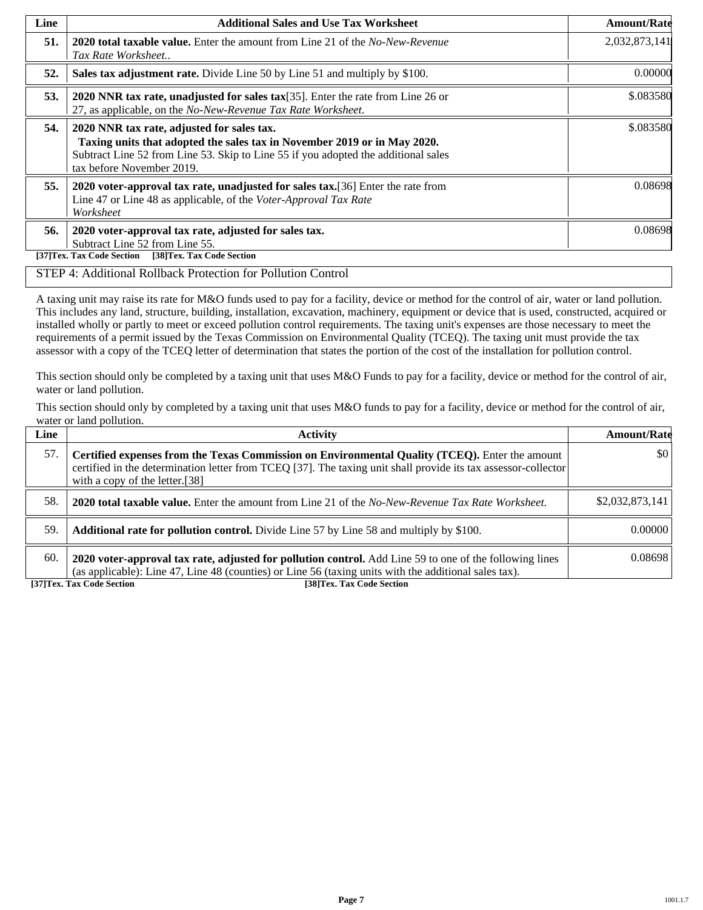| Line | <b>Additional Sales and Use Tax Worksheet</b>                                                                                                                                                                                             | <b>Amount/Rate</b> |
|------|-------------------------------------------------------------------------------------------------------------------------------------------------------------------------------------------------------------------------------------------|--------------------|
| 51.  | <b>2020 total taxable value.</b> Enter the amount from Line 21 of the <i>No-New-Revenue</i><br>Tax Rate Worksheet                                                                                                                         | 2,032,873,141      |
| 52.  | Sales tax adjustment rate. Divide Line 50 by Line 51 and multiply by \$100.                                                                                                                                                               | 0.00000            |
| 53.  | 2020 NNR tax rate, unadjusted for sales tax $[35]$ . Enter the rate from Line 26 or<br>27, as applicable, on the No-New-Revenue Tax Rate Worksheet.                                                                                       | \$.083580          |
| 54.  | 2020 NNR tax rate, adjusted for sales tax.<br>Taxing units that adopted the sales tax in November 2019 or in May 2020.<br>Subtract Line 52 from Line 53. Skip to Line 55 if you adopted the additional sales<br>tax before November 2019. | \$.083580          |
| 55.  | 2020 voter-approval tax rate, unadjusted for sales tax. [36] Enter the rate from<br>Line 47 or Line 48 as applicable, of the Voter-Approval Tax Rate<br>Worksheet                                                                         | 0.08698            |
| 56.  | 2020 voter-approval tax rate, adjusted for sales tax.<br>Subtract Line 52 from Line 55.<br>[38]Tex. Tax Code Section<br>[37]Tex. Tax Code Section                                                                                         | 0.08698            |

#### STEP 4: Additional Rollback Protection for Pollution Control

A taxing unit may raise its rate for M&O funds used to pay for a facility, device or method for the control of air, water or land pollution. This includes any land, structure, building, installation, excavation, machinery, equipment or device that is used, constructed, acquired or installed wholly or partly to meet or exceed pollution control requirements. The taxing unit's expenses are those necessary to meet the requirements of a permit issued by the Texas Commission on Environmental Quality (TCEQ). The taxing unit must provide the tax assessor with a copy of the TCEQ letter of determination that states the portion of the cost of the installation for pollution control.

This section should only be completed by a taxing unit that uses M&O Funds to pay for a facility, device or method for the control of air, water or land pollution.

This section should only by completed by a taxing unit that uses M&O funds to pay for a facility, device or method for the control of air, water or land pollution.

| Line | <b>Activity</b>                                                                                                                                                                                                                                    | <b>Amount/Rate</b> |
|------|----------------------------------------------------------------------------------------------------------------------------------------------------------------------------------------------------------------------------------------------------|--------------------|
| 57.  | Certified expenses from the Texas Commission on Environmental Quality (TCEQ). Enter the amount<br>certified in the determination letter from TCEQ [37]. The taxing unit shall provide its tax assessor-collector<br>with a copy of the letter.[38] | $\frac{1}{2}$      |
| 58.  | <b>2020 total taxable value.</b> Enter the amount from Line 21 of the No-New-Revenue Tax Rate Worksheet.                                                                                                                                           | \$2,032,873,141    |
| 59.  | <b>Additional rate for pollution control.</b> Divide Line 57 by Line 58 and multiply by \$100.                                                                                                                                                     | 0.00000            |
| 60.  | 2020 voter-approval tax rate, adjusted for pollution control. Add Line 59 to one of the following lines<br>(as applicable): Line 47, Line 48 (counties) or Line 56 (taxing units with the additional sales tax).                                   | 0.08698            |

**[37]Tex. Tax Code Section [38]Tex. Tax Code Section**